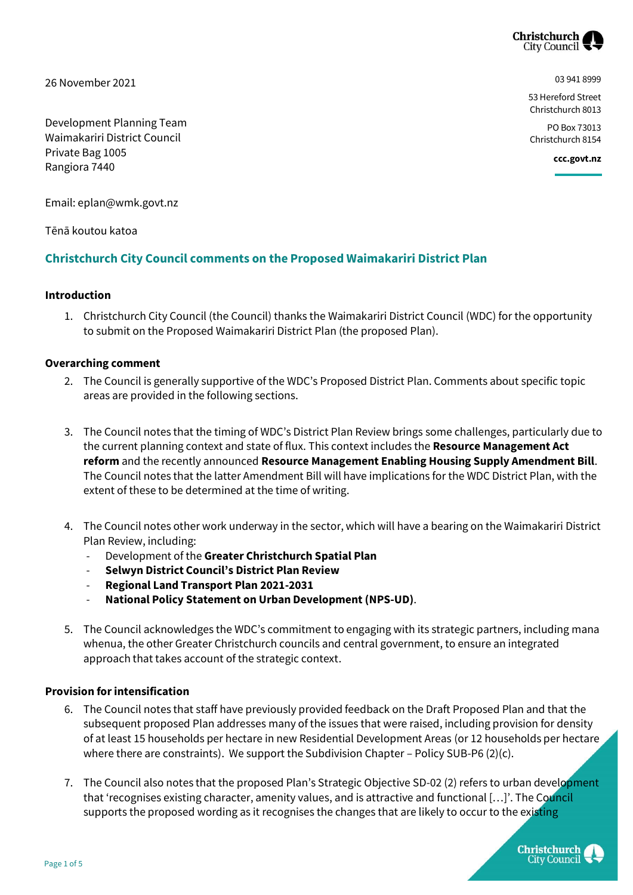

26 November 2021

Development Planning Team Waimakariri District Council Private Bag 1005 Rangiora 7440

03 941 8999

53 Hereford Street Christchurch 8013

PO Box 73013 Christchurch 8154

**ccc.govt.nz**

Email: eplan@wmk.govt.nz

Tēnā koutou katoa

# **Christchurch City Council comments on the Proposed Waimakariri District Plan**

## **Introduction**

1. Christchurch City Council (the Council) thanks the Waimakariri District Council (WDC) for the opportunity to submit on the Proposed Waimakariri District Plan (the proposed Plan).

## **Overarching comment**

- 2. The Council is generally supportive of the WDC's Proposed District Plan. Comments about specific topic areas are provided in the following sections.
- 3. The Council notes that the timing of WDC's District Plan Review brings some challenges, particularly due to the current planning context and state of flux. This context includes the **Resource Management Act reform** and the recently announced **Resource Management Enabling Housing Supply Amendment Bill**. The Council notes that the latter Amendment Bill will have implications for the WDC District Plan, with the extent of these to be determined at the time of writing.
- 4. The Council notes other work underway in the sector, which will have a bearing on the Waimakariri District Plan Review, including:
	- Development of the **Greater Christchurch Spatial Plan**
	- **Selwyn District Council's District Plan Review**
	- **Regional Land Transport Plan 2021-2031**
	- **National Policy Statement on Urban Development (NPS-UD)**.
- 5. The Council acknowledges the WDC's commitment to engaging with its strategic partners, including mana whenua, the other Greater Christchurch councils and central government, to ensure an integrated approach that takes account of the strategic context.

## **Provision for intensification**

- 6. The Council notes that staff have previously provided feedback on the Draft Proposed Plan and that the subsequent proposed Plan addresses many of the issues that were raised, including provision for density of at least 15 households per hectare in new Residential Development Areas (or 12 households per hectare where there are constraints). We support the Subdivision Chapter – Policy SUB-P6 (2)(c).
- 7. The Council also notes that the proposed Plan's Strategic Objective SD-02 (2) refers to urban development that 'recognises existing character, amenity values, and is attractive and functional […]'. The Council supports the proposed wording as it recognises the changes that are likely to occur to the existing

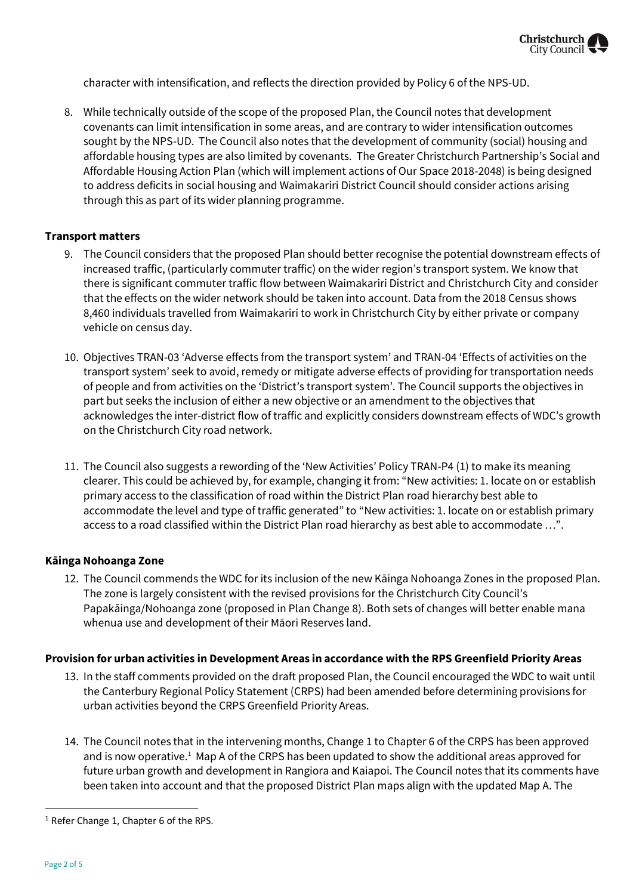

character with intensification, and reflects the direction provided by Policy 6 of the NPS-UD.

8. While technically outside of the scope of the proposed Plan, the Council notes that development covenants can limit intensification in some areas, and are contrary to wider intensification outcomes sought by the NPS-UD. The Council also notes that the development of community (social) housing and affordable housing types are also limited by covenants. The Greater Christchurch Partnership's Social and Affordable Housing Action Plan (which will implement actions of Our Space 2018-2048) is being designed to address deficits in social housing and Waimakariri District Council should consider actions arising through this as part of its wider planning programme.

## **Transport matters**

- 9. The Council considers that the proposed Plan should better recognise the potential downstream effects of increased traffic, (particularly commuter traffic) on the wider region's transport system. We know that there is significant commuter traffic flow between Waimakariri District and Christchurch City and consider that the effects on the wider network should be taken into account. Data from the 2018 Census shows 8,460 individuals travelled from Waimakariri to work in Christchurch City by either private or company vehicle on census day.
- 10. Objectives TRAN-03 'Adverse effects from the transport system' and TRAN-04 'Effects of activities on the transport system' seek to avoid, remedy or mitigate adverse effects of providing for transportation needs of people and from activities on the 'District's transport system'. The Council supports the objectives in part but seeks the inclusion of either a new objective or an amendment to the objectives that acknowledges the inter-district flow of traffic and explicitly considers downstream effects of WDC's growth on the Christchurch City road network.
- 11. The Council also suggests a rewording of the 'New Activities' Policy TRAN-P4 (1) to make its meaning clearer. This could be achieved by, for example, changing it from: "New activities: 1. locate on or establish primary access to the classification of road within the District Plan road hierarchy best able to accommodate the level and type of traffic generated" to "New activities: 1. locate on or establish primary access to a road classified within the District Plan road hierarchy as best able to accommodate …".

## **Kāinga Nohoanga Zone**

12. The Council commends the WDC for its inclusion of the new Kāinga Nohoanga Zones in the proposed Plan. The zone is largely consistent with the revised provisions for the Christchurch City Council's Papakāinga/Nohoanga zone (proposed in Plan Change 8). Both sets of changes will better enable mana whenua use and development of their Māori Reserves land.

## **Provision for urban activities in Development Areas in accordance with the RPS Greenfield Priority Areas**

- 13. In the staff comments provided on the draft proposed Plan, the Council encouraged the WDC to wait until the Canterbury Regional Policy Statement (CRPS) had been amended before determining provisions for urban activities beyond the CRPS Greenfield Priority Areas.
- 14. The Council notes that in the intervening months, Change 1 to Chapter 6 of the CRPS has been approved and is now operative.<sup>1</sup> Map A of the CRPS has been updated to show the additional areas approved for future urban growth and development in Rangiora and Kaiapoi. The Council notes that its comments have been taken into account and that the proposed District Plan maps align with the updated Map A. The

 $\overline{a}$ 

<sup>&</sup>lt;sup>1</sup> Refer Change 1, Chapter 6 of the RPS.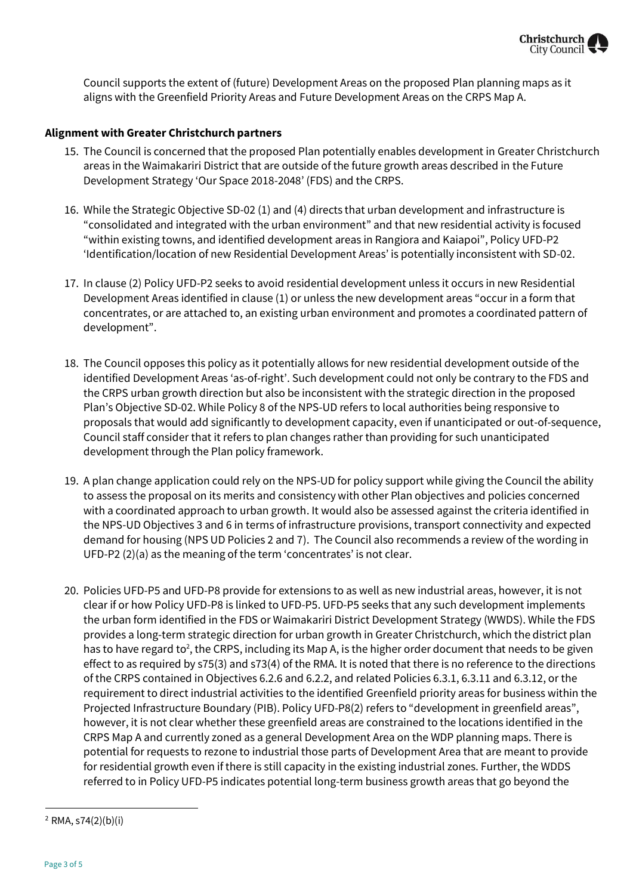

Council supports the extent of (future) Development Areas on the proposed Plan planning maps as it aligns with the Greenfield Priority Areas and Future Development Areas on the CRPS Map A.

## **Alignment with Greater Christchurch partners**

- 15. The Council is concerned that the proposed Plan potentially enables development in Greater Christchurch areas in the Waimakariri District that are outside of the future growth areas described in the Future Development Strategy 'Our Space 2018-2048' (FDS) and the CRPS.
- 16. While the Strategic Objective SD-02 (1) and (4) directs that urban development and infrastructure is "consolidated and integrated with the urban environment" and that new residential activity is focused "within existing towns, and identified development areas in Rangiora and Kaiapoi", Policy UFD-P2 'Identification/location of new Residential Development Areas' is potentially inconsistent with SD-02.
- 17. In clause (2) Policy UFD-P2 seeks to avoid residential development unless it occurs in new Residential Development Areas identified in clause (1) or unless the new development areas "occur in a form that concentrates, or are attached to, an existing urban environment and promotes a coordinated pattern of development".
- 18. The Council opposes this policy as it potentially allows for new residential development outside of the identified Development Areas 'as-of-right'. Such development could not only be contrary to the FDS and the CRPS urban growth direction but also be inconsistent with the strategic direction in the proposed Plan's Objective SD-02. While Policy 8 of the NPS-UD refers to local authorities being responsive to proposals that would add significantly to development capacity, even if unanticipated or out-of-sequence, Council staff consider that it refers to plan changes rather than providing for such unanticipated development through the Plan policy framework.
- 19. A plan change application could rely on the NPS-UD for policy support while giving the Council the ability to assess the proposal on its merits and consistency with other Plan objectives and policies concerned with a coordinated approach to urban growth. It would also be assessed against the criteria identified in the NPS-UD Objectives 3 and 6 in terms of infrastructure provisions, transport connectivity and expected demand for housing (NPS UD Policies 2 and 7). The Council also recommends a review of the wording in UFD-P2 (2)(a) as the meaning of the term 'concentrates' is not clear.
- 20. Policies UFD-P5 and UFD-P8 provide for extensions to as well as new industrial areas, however, it is not clear if or how Policy UFD-P8 is linked to UFD-P5. UFD-P5 seeks that any such development implements the urban form identified in the FDS or Waimakariri District Development Strategy (WWDS). While the FDS provides a long-term strategic direction for urban growth in Greater Christchurch, which the district plan has to have regard to<sup>2</sup>, the CRPS, including its Map A, is the higher order document that needs to be given effect to as required by s75(3) and s73(4) of the RMA. It is noted that there is no reference to the directions of the CRPS contained in Objectives 6.2.6 and 6.2.2, and related Policies 6.3.1, 6.3.11 and 6.3.12, or the requirement to direct industrial activities to the identified Greenfield priority areas for business within the Projected Infrastructure Boundary (PIB). Policy UFD-P8(2) refers to "development in greenfield areas", however, it is not clear whether these greenfield areas are constrained to the locations identified in the CRPS Map A and currently zoned as a general Development Area on the WDP planning maps. There is potential for requests to rezone to industrial those parts of Development Area that are meant to provide for residential growth even if there is still capacity in the existing industrial zones. Further, the WDDS referred to in Policy UFD-P5 indicates potential long-term business growth areas that go beyond the

 $\overline{\phantom{a}}$ 

<sup>2</sup> RMA, s74(2)(b)(i)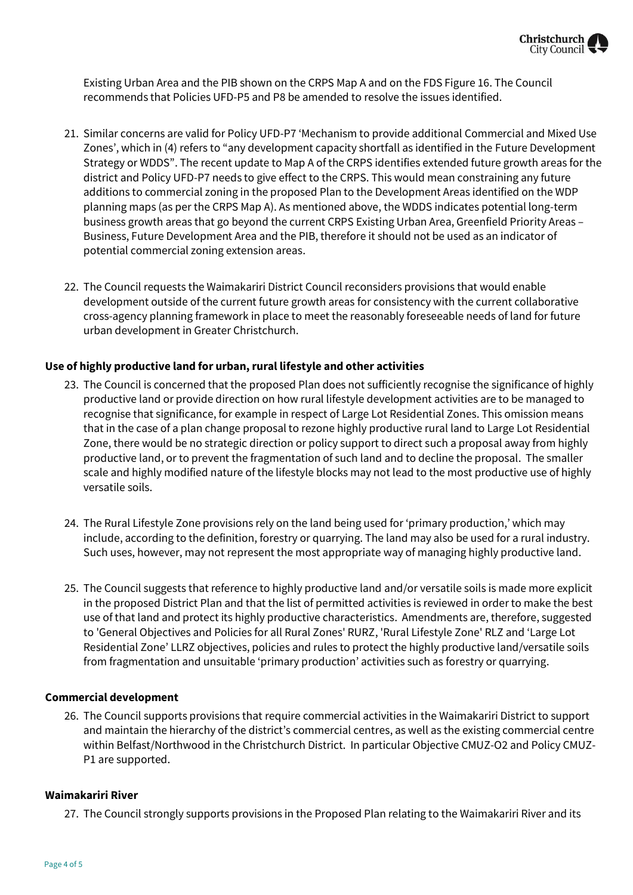Existing Urban Area and the PIB shown on the CRPS Map A and on the FDS Figure 16. The Council recommends that Policies UFD-P5 and P8 be amended to resolve the issues identified.

- 21. Similar concerns are valid for Policy UFD-P7 'Mechanism to provide additional Commercial and Mixed Use Zones', which in (4) refers to "any development capacity shortfall as identified in the Future Development Strategy or WDDS". The recent update to Map A of the CRPS identifies extended future growth areas for the district and Policy UFD-P7 needs to give effect to the CRPS. This would mean constraining any future additions to commercial zoning in the proposed Plan to the Development Areas identified on the WDP planning maps (as per the CRPS Map A). As mentioned above, the WDDS indicates potential long-term business growth areas that go beyond the current CRPS Existing Urban Area, Greenfield Priority Areas – Business, Future Development Area and the PIB, therefore it should not be used as an indicator of potential commercial zoning extension areas.
- 22. The Council requests the Waimakariri District Council reconsiders provisions that would enable development outside of the current future growth areas for consistency with the current collaborative cross-agency planning framework in place to meet the reasonably foreseeable needs of land for future urban development in Greater Christchurch.

## **Use of highly productive land for urban, rural lifestyle and other activities**

- 23. The Council is concerned that the proposed Plan does not sufficiently recognise the significance of highly productive land or provide direction on how rural lifestyle development activities are to be managed to recognise that significance, for example in respect of Large Lot Residential Zones. This omission means that in the case of a plan change proposal to rezone highly productive rural land to Large Lot Residential Zone, there would be no strategic direction or policy support to direct such a proposal away from highly productive land, or to prevent the fragmentation of such land and to decline the proposal. The smaller scale and highly modified nature of the lifestyle blocks may not lead to the most productive use of highly versatile soils.
- 24. The Rural Lifestyle Zone provisions rely on the land being used for 'primary production,' which may include, according to the definition, forestry or quarrying. The land may also be used for a rural industry. Such uses, however, may not represent the most appropriate way of managing highly productive land.
- 25. The Council suggests that reference to highly productive land and/or versatile soils is made more explicit in the proposed District Plan and that the list of permitted activities is reviewed in order to make the best use of that land and protect its highly productive characteristics. Amendments are, therefore, suggested to 'General Objectives and Policies for all Rural Zones' RURZ, 'Rural Lifestyle Zone' RLZ and 'Large Lot Residential Zone' LLRZ objectives, policies and rules to protect the highly productive land/versatile soils from fragmentation and unsuitable 'primary production' activities such as forestry or quarrying.

## **Commercial development**

26. The Council supports provisions that require commercial activities in the Waimakariri District to support and maintain the hierarchy of the district's commercial centres, as well as the existing commercial centre within Belfast/Northwood in the Christchurch District. In particular Objective CMUZ-O2 and Policy CMUZ-P1 are supported.

## **Waimakariri River**

27. The Council strongly supports provisions in the Proposed Plan relating to the Waimakariri River and its